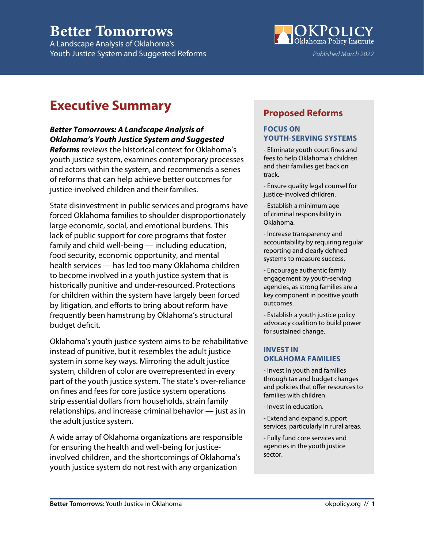# **Better Tomorrows**

A Landscape Analysis of Oklahoma's Youth Justice System and Suggested Reforms



# **Executive Summary**

### *Better Tomorrows: A Landscape Analysis of Oklahoma's Youth Justice System and Suggested*

*Reforms* reviews the historical context for Oklahoma's youth justice system, examines contemporary processes and actors within the system, and recommends a series of reforms that can help achieve better outcomes for justice-involved children and their families.

State disinvestment in public services and programs have forced Oklahoma families to shoulder disproportionately large economic, social, and emotional burdens. This lack of public support for core programs that foster family and child well-being — including education, food security, economic opportunity, and mental health services — has led too many Oklahoma children to become involved in a youth justice system that is historically punitive and under-resourced. Protections for children within the system have largely been forced by litigation, and efforts to bring about reform have frequently been hamstrung by Oklahoma's structural budget deficit.

Oklahoma's youth justice system aims to be rehabilitative instead of punitive, but it resembles the adult justice system in some key ways. Mirroring the adult justice system, children of color are overrepresented in every part of the youth justice system. The state's over-reliance on fines and fees for core justice system operations strip essential dollars from households, strain family relationships, and increase criminal behavior — just as in the adult justice system.

A wide array of Oklahoma organizations are responsible for ensuring the health and well-being for justiceinvolved children, and the shortcomings of Oklahoma's youth justice system do not rest with any organization

### **Proposed Reforms**

#### **FOCUS ON YOUTH-SERVING SYSTEMS**

- Eliminate youth court fines and fees to help Oklahoma's children and their families get back on track.

- Ensure quality legal counsel for justice-involved children.

- Establish a minimum age of criminal responsibility in Oklahoma.

- Increase transparency and accountability by requiring regular reporting and clearly defined systems to measure success.

- Encourage authentic family engagement by youth-serving agencies, as strong families are a key component in positive youth outcomes.

- Establish a youth justice policy advocacy coalition to build power for sustained change.

#### **INVEST IN OKLAHOMA FAMILIES**

- Invest in youth and families through tax and budget changes and policies that offer resources to families with children.

- Invest in education.

- Extend and expand support services, particularly in rural areas.

- Fully fund core services and agencies in the youth justice sector.